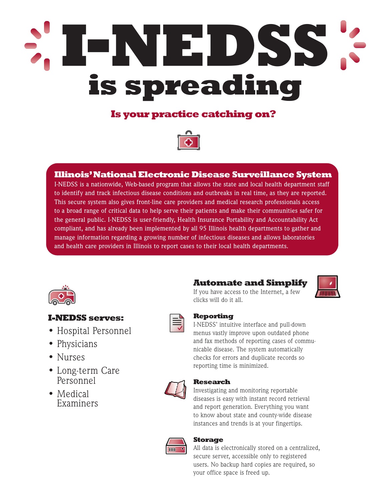# **I-NEDSS is spreading**

# **Is your practice catching on?**



# **Illinois'National Electronic Disease Surveillance System**

I-NEDSS is a nationwide, Web-based program that allows the state and local health department staff to identify and track infectious disease conditions and outbreaks in real time, as they are reported. This secure system also gives front-line care providers and medical research professionals access to a broad range of critical data to help serve their patients and make their communities safer for the general public. I-NEDSS is user-friendly, Health Insurance Portability and Accountability Act compliant, and has already been implemented by all 95 Illinois health departments to gather and manage information regarding a growing number of infectious diseases and allows laboratories and health care providers in Illinois to report cases to their local health departments.



## **I-NEDSS serves:**

- Hospital Personnel
- Physicians
- Nurses
- Long-term Care Personnel
- Medical Examiners



# **Automate and Simplify**



If you have access to the Internet, a few clicks will do it all.

### **Reporting**

I-NEDSS' intuitive interface and pull-down menus vastly improve upon outdated phone and fax methods of reporting cases of communicable disease. The system automatically checks for errors and duplicate records so reporting time is minimized.



#### **Research**

Investigating and monitoring reportable diseases is easy with instant record retrieval and report generation. Everything you want to know about state and county-wide disease instances and trends is at your fingertips.



#### **Storage**

All data is electronically stored on a centralized, secure server, accessible only to registered users. No backup hard copies are required, so your office space is freed up.